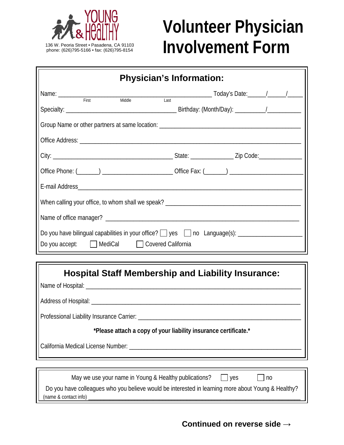

## **Volunteer Physician INVOLVEMENT PROPERTY CHEFFICIALITY**<br>
phone: (626)795-5166 • fax: (626)795-8154<br> **INVOIVEMENT FORM**

| <b>Physician's Information:</b>            |  |  |  |  |
|--------------------------------------------|--|--|--|--|
| Name: First<br>Middle<br>$\overline{Last}$ |  |  |  |  |
|                                            |  |  |  |  |
|                                            |  |  |  |  |
|                                            |  |  |  |  |
|                                            |  |  |  |  |
|                                            |  |  |  |  |
|                                            |  |  |  |  |
|                                            |  |  |  |  |
|                                            |  |  |  |  |
| Do you accept: MediCal Covered California  |  |  |  |  |
|                                            |  |  |  |  |

| <b>Hospital Staff Membership and Liability Insurance:</b>                                                                                 |
|-------------------------------------------------------------------------------------------------------------------------------------------|
|                                                                                                                                           |
|                                                                                                                                           |
|                                                                                                                                           |
| *Please attach a copy of your liability insurance certificate.*                                                                           |
|                                                                                                                                           |
|                                                                                                                                           |
| May we use your name in Young & Healthy publications? $\Box$ yes $\Box$ no                                                                |
| Do you have colleagues who you believe would be interested in learning more about Young & Healthy?<br>(name & contact info) _____________ |

## **Continued on reverse side →**